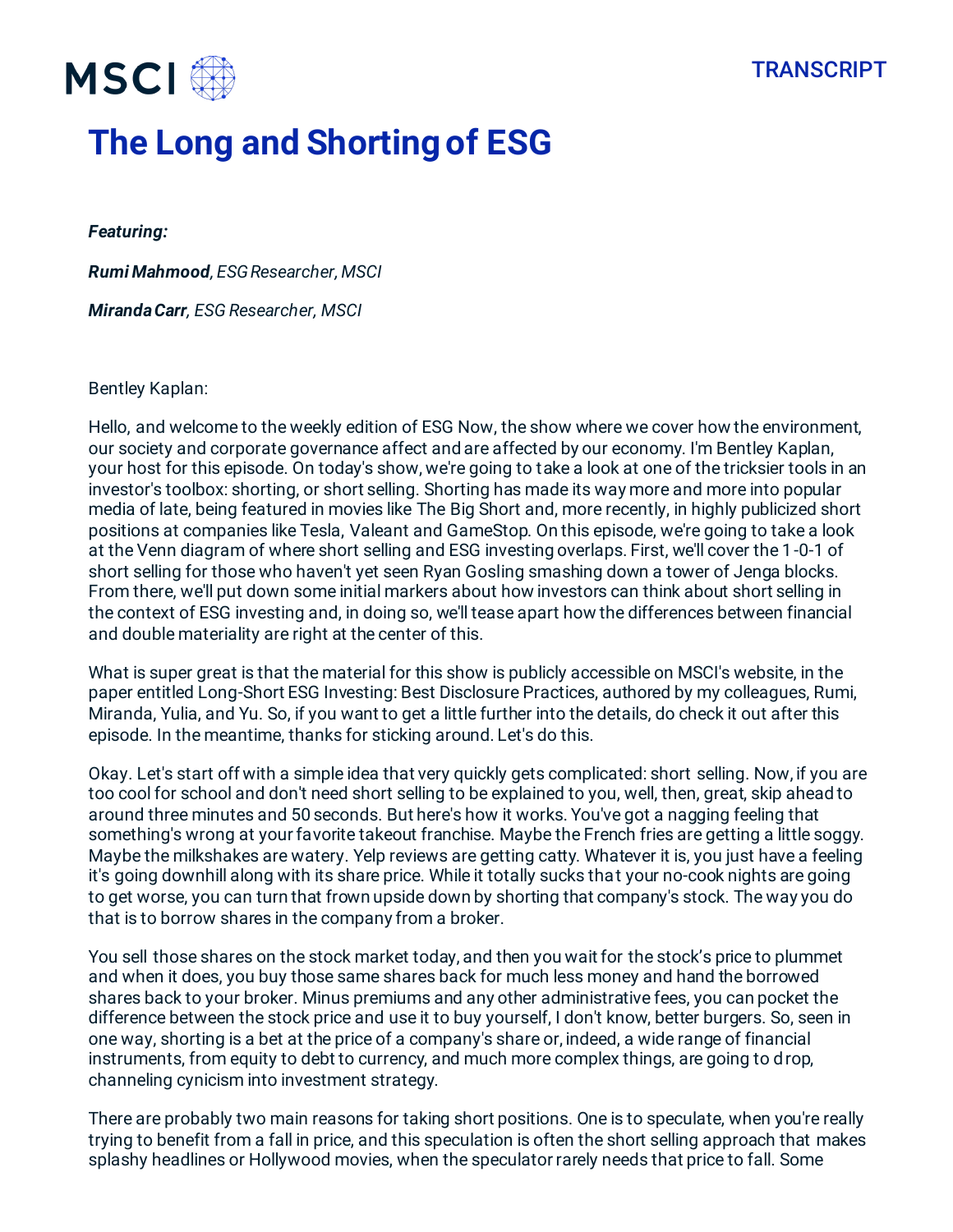

# **The Long and Shorting of ESG**

*Featuring:* 

*Rumi Mahmood, ESG Researcher, MSCI*

*Miranda Carr, ESG Researcher, MSCI*

#### Bentley Kaplan:

Hello, and welcome to the weekly edition of ESG Now, the show where we cover how the environment, our society and corporate governance affect and are affected by our economy. I'm Bentley Kaplan, your host for this episode. On today's show, we're going to take a look at one of the tricksier tools in an investor's toolbox: shorting, or short selling. Shorting has made its way more and more into popular media of late, being featured in movies like The Big Short and, more recently, in highly publicized short positions at companies like Tesla, Valeant and GameStop. On this episode, we're going to take a look at the Venn diagram of where short selling and ESG investing overlaps. First, we'll cover the 1-0-1 of short selling for those who haven't yet seen Ryan Gosling smashing down a tower of Jenga blocks. From there, we'll put down some initial markers about how investors can think about short selling in the context of ESG investing and, in doing so, we'll tease apart how the differences between financial and double materiality are right at the center of this.

What is super great is that the material for this show is publicly accessible on MSCI's website, in the paper entitled Long-Short ESG Investing: Best Disclosure Practices, authored by my colleagues, Rumi, Miranda, Yulia, and Yu. So, if you want to get a little further into the details, do check it out after this episode. In the meantime, thanks for sticking around. Let's do this.

Okay. Let's start off with a simple idea that very quickly gets complicated: short selling. Now, if you are too cool for school and don't need short selling to be explained to you, well, then, great, skip ahead to around three minutes and 50 seconds. But here's how it works. You've got a nagging feeling that something's wrong at your favorite takeout franchise. Maybe the French fries are getting a little soggy. Maybe the milkshakes are watery. Yelp reviews are getting catty. Whatever it is, you just have a feeling it's going downhill along with its share price. While it totally sucks that your no-cook nights are going to get worse, you can turn that frown upside down by shorting that company's stock. The way you do that is to borrow shares in the company from a broker.

You sell those shares on the stock market today, and then you wait for the stock's price to plummet and when it does, you buy those same shares back for much less money and hand the borrowed shares back to your broker. Minus premiums and any other administrative fees, you can pocket the difference between the stock price and use it to buy yourself, I don't know, better burgers. So, seen in one way, shorting is a bet at the price of a company's share or, indeed, a wide range of financial instruments, from equity to debt to currency, and much more complex things, are going to drop, channeling cynicism into investment strategy.

There are probably two main reasons for taking short positions. One is to speculate, when you're really trying to benefit from a fall in price, and this speculation is often the short selling approach that makes splashy headlines or Hollywood movies, when the speculator rarely needs that price to fall. Some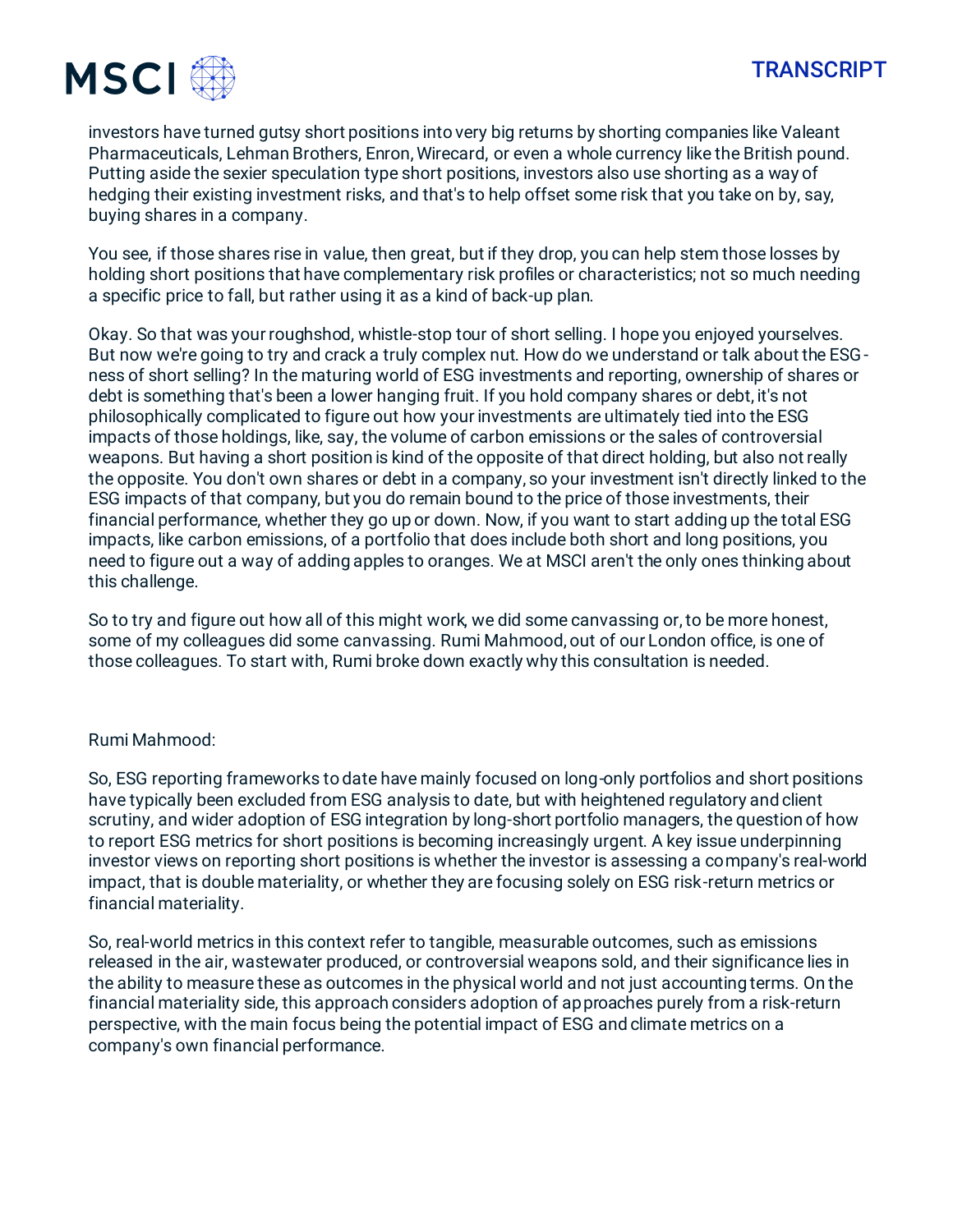

investors have turned gutsy short positions into very big returns by shorting companies like Valeant Pharmaceuticals, Lehman Brothers, Enron, Wirecard, or even a whole currency like the British pound. Putting aside the sexier speculation type short positions, investors also use shorting as a way of hedging their existing investment risks, and that's to help offset some risk that you take on by, say, buying shares in a company.

You see, if those shares rise in value, then great, but if they drop, you can help stem those losses by holding short positions that have complementary risk profiles or characteristics; not so much needing a specific price to fall, but rather using it as a kind of back-up plan.

Okay. So that was your roughshod, whistle-stop tour of short selling. I hope you enjoyed yourselves. But now we're going to try and crack a truly complex nut. How do we understand or talk about the ESGness of short selling? In the maturing world of ESG investments and reporting, ownership of shares or debt is something that's been a lower hanging fruit. If you hold company shares or debt, it's not philosophically complicated to figure out how your investments are ultimately tied into the ESG impacts of those holdings, like, say, the volume of carbon emissions or the sales of controversial weapons. But having a short position is kind of the opposite of that direct holding, but also not really the opposite. You don't own shares or debt in a company, so your investment isn't directly linked to the ESG impacts of that company, but you do remain bound to the price of those investments, their financial performance, whether they go up or down. Now, if you want to start adding up the total ESG impacts, like carbon emissions, of a portfolio that does include both short and long positions, you need to figure out a way of adding apples to oranges. We at MSCI aren't the only ones thinking about this challenge.

So to try and figure out how all of this might work, we did some canvassing or, to be more honest, some of my colleagues did some canvassing. Rumi Mahmood, out of our London office, is one of those colleagues. To start with, Rumi broke down exactly why this consultation is needed.

#### Rumi Mahmood:

So, ESG reporting frameworks to date have mainly focused on long-only portfolios and short positions have typically been excluded from ESG analysis to date, but with heightened regulatory and client scrutiny, and wider adoption of ESG integration by long-short portfolio managers, the question of how to report ESG metrics for short positions is becoming increasingly urgent. A key issue underpinning investor views on reporting short positions is whether the investor is assessing a company's real-world impact, that is double materiality, or whether they are focusing solely on ESG risk-return metrics or financial materiality.

So, real-world metrics in this context refer to tangible, measurable outcomes, such as emissions released in the air, wastewater produced, or controversial weapons sold, and their significance lies in the ability to measure these as outcomes in the physical world and not just accounting terms. On the financial materiality side, this approach considers adoption of approaches purely from a risk-return perspective, with the main focus being the potential impact of ESG and climate metrics on a company's own financial performance.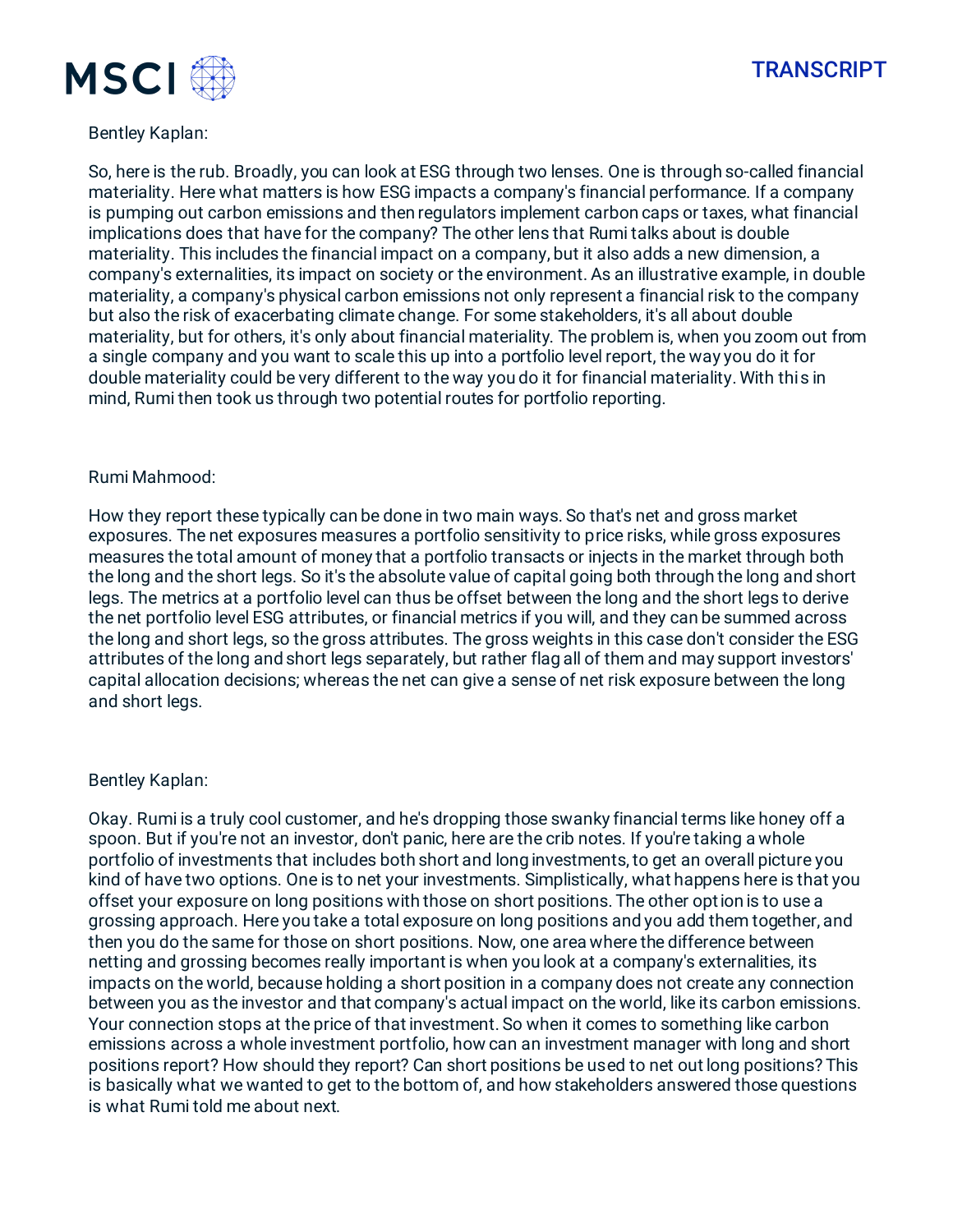



### Bentley Kaplan:

So, here is the rub. Broadly, you can look at ESG through two lenses. One is through so-called financial materiality. Here what matters is how ESG impacts a company's financial performance. If a company is pumping out carbon emissions and then regulators implement carbon caps or taxes, what financial implications does that have for the company? The other lens that Rumi talks about is double materiality. This includes the financial impact on a company, but it also adds a new dimension, a company's externalities, its impact on society or the environment. As an illustrative example, in double materiality, a company's physical carbon emissions not only represent a financial risk to the company but also the risk of exacerbating climate change. For some stakeholders, it's all about double materiality, but for others, it's only about financial materiality. The problem is, when you zoom out from a single company and you want to scale this up into a portfolio level report, the way you do it for double materiality could be very different to the way you do it for financial materiality. With this in mind, Rumi then took us through two potential routes for portfolio reporting.

#### Rumi Mahmood:

How they report these typically can be done in two main ways. So that's net and gross market exposures. The net exposures measures a portfolio sensitivity to price risks, while gross exposures measures the total amount of money that a portfolio transacts or injects in the market through both the long and the short legs. So it's the absolute value of capital going both through the long and short legs. The metrics at a portfolio level can thus be offset between the long and the short legs to derive the net portfolio level ESG attributes, or financial metrics if you will, and they can be summed across the long and short legs, so the gross attributes. The gross weights in this case don't consider the ESG attributes of the long and short legs separately, but rather flag all of them and may support investors' capital allocation decisions; whereas the net can give a sense of net risk exposure between the long and short legs.

#### Bentley Kaplan:

Okay. Rumi is a truly cool customer, and he's dropping those swanky financial terms like honey off a spoon. But if you're not an investor, don't panic, here are the crib notes. If you're taking a whole portfolio of investments that includes both short and long investments, to get an overall picture you kind of have two options. One is to net your investments. Simplistically, what happens here is that you offset your exposure on long positions with those on short positions. The other option is to use a grossing approach. Here you take a total exposure on long positions and you add them together, and then you do the same for those on short positions. Now, one area where the difference between netting and grossing becomes really important is when you look at a company's externalities, its impacts on the world, because holding a short position in a company does not create any connection between you as the investor and that company's actual impact on the world, like its carbon emissions. Your connection stops at the price of that investment. So when it comes to something like carbon emissions across a whole investment portfolio, how can an investment manager with long and short positions report? How should they report? Can short positions be used to net out long positions? This is basically what we wanted to get to the bottom of, and how stakeholders answered those questions is what Rumi told me about next.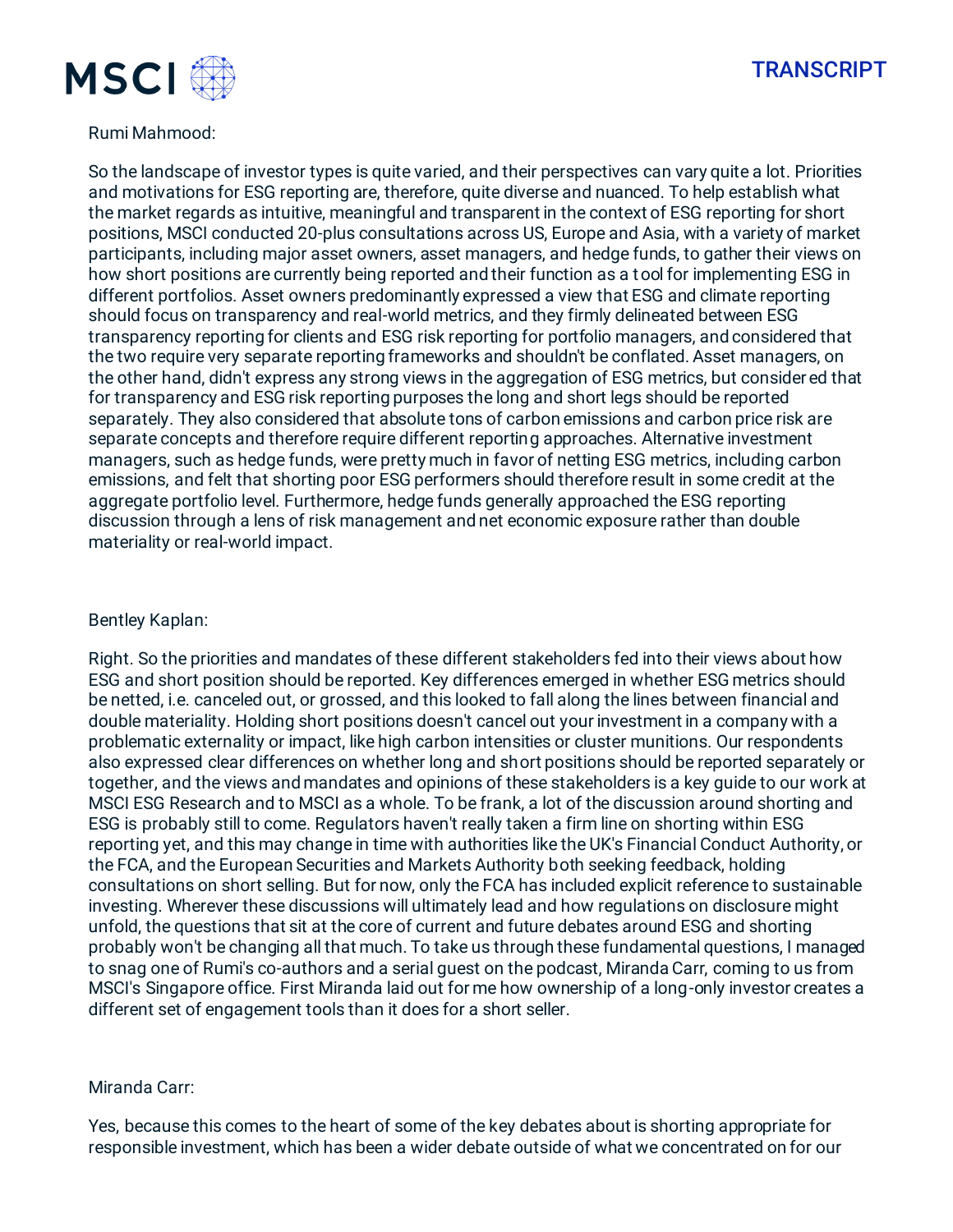

### Rumi Mahmood:

So the landscape of investor types is quite varied, and their perspectives can vary quite a lot. Priorities and motivations for ESG reporting are, therefore, quite diverse and nuanced. To help establish what the market regards as intuitive, meaningful and transparent in the context of ESG reporting for short positions, MSCI conducted 20-plus consultations across US, Europe and Asia, with a variety of market participants, including major asset owners, asset managers, and hedge funds, to gather their views on how short positions are currently being reported and their function as a tool for implementing ESG in different portfolios. Asset owners predominantly expressed a view that ESG and climate reporting should focus on transparency and real-world metrics, and they firmly delineated between ESG transparency reporting for clients and ESG risk reporting for portfolio managers, and considered that the two require very separate reporting frameworks and shouldn't be conflated. Asset managers, on the other hand, didn't express any strong views in the aggregation of ESG metrics, but consider ed that for transparency and ESG risk reporting purposes the long and short legs should be reported separately. They also considered that absolute tons of carbon emissions and carbon price risk are separate concepts and therefore require different reporting approaches. Alternative investment managers, such as hedge funds, were pretty much in favor of netting ESG metrics, including carbon emissions, and felt that shorting poor ESG performers should therefore result in some credit at the aggregate portfolio level. Furthermore, hedge funds generally approached the ESG reporting discussion through a lens of risk management and net economic exposure rather than double materiality or real-world impact.

#### Bentley Kaplan:

Right. So the priorities and mandates of these different stakeholders fed into their views about how ESG and short position should be reported. Key differences emerged in whether ESG metrics should be netted, i.e. canceled out, or grossed, and this looked to fall along the lines between financial and double materiality. Holding short positions doesn't cancel out your investment in a company with a problematic externality or impact, like high carbon intensities or cluster munitions. Our respondents also expressed clear differences on whether long and short positions should be reported separately or together, and the views and mandates and opinions of these stakeholders is a key guide to our work at MSCI ESG Research and to MSCI as a whole. To be frank, a lot of the discussion around shorting and ESG is probably still to come. Regulators haven't really taken a firm line on shorting within ESG reporting yet, and this may change in time with authorities like the UK's Financial Conduct Authority, or the FCA, and the European Securities and Markets Authority both seeking feedback, holding consultations on short selling. But for now, only the FCA has included explicit reference to sustainable investing. Wherever these discussions will ultimately lead and how regulations on disclosure might unfold, the questions that sit at the core of current and future debates around ESG and shorting probably won't be changing all that much. To take us through these fundamental questions, I managed to snag one of Rumi's co-authors and a serial guest on the podcast, Miranda Carr, coming to us from MSCI's Singapore office. First Miranda laid out for me how ownership of a long-only investor creates a different set of engagement tools than it does for a short seller.

#### Miranda Carr:

Yes, because this comes to the heart of some of the key debates about is shorting appropriate for responsible investment, which has been a wider debate outside of what we concentrated on for our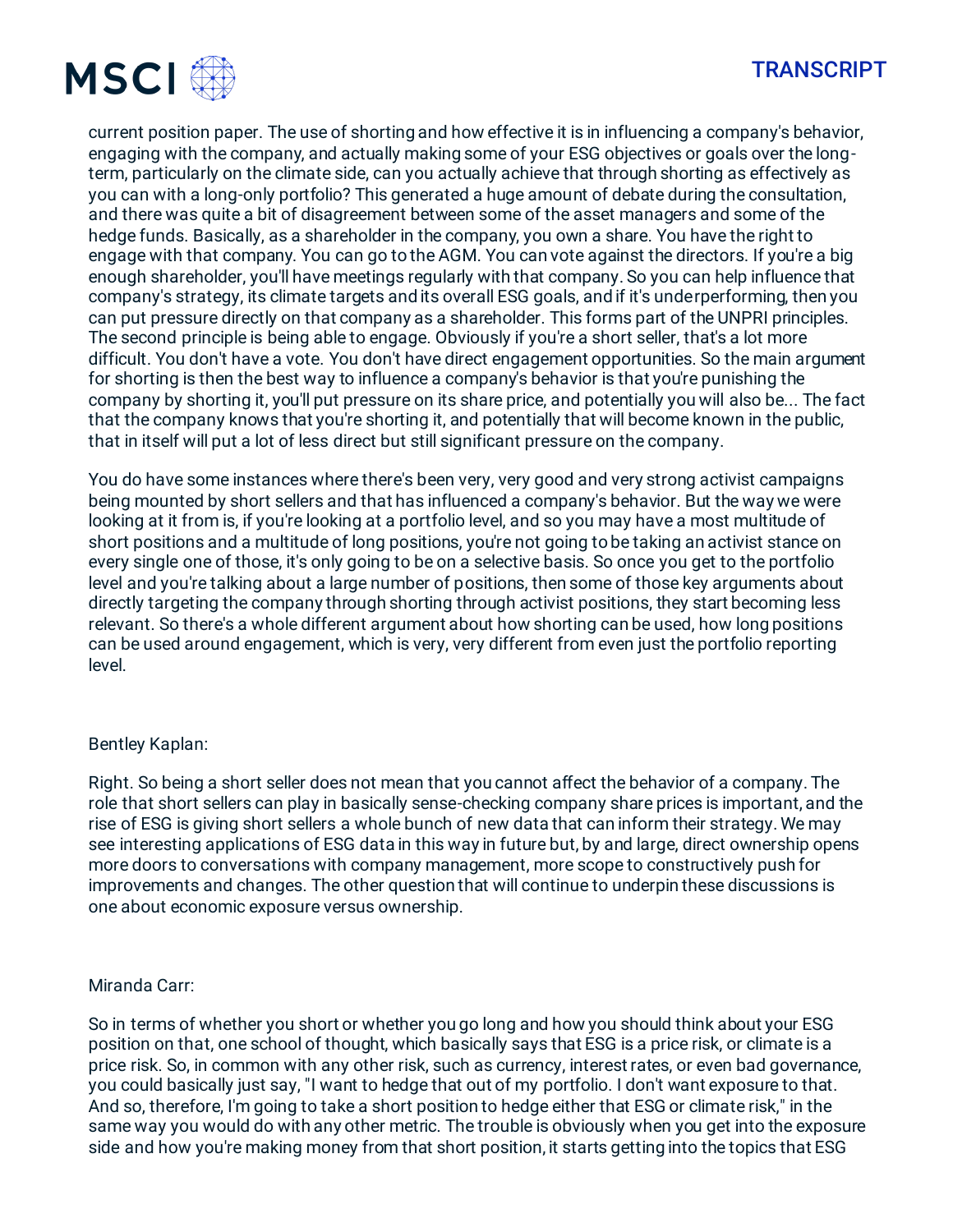

current position paper. The use of shorting and how effective it is in influencing a company's behavior, engaging with the company, and actually making some of your ESG objectives or goals over the longterm, particularly on the climate side, can you actually achieve that through shorting as effectively as you can with a long-only portfolio? This generated a huge amount of debate during the consultation, and there was quite a bit of disagreement between some of the asset managers and some of the hedge funds. Basically, as a shareholder in the company, you own a share. You have the right to engage with that company. You can go to the AGM. You can vote against the directors. If you're a big enough shareholder, you'll have meetings regularly with that company. So you can help influence that company's strategy, its climate targets and its overall ESG goals, and if it's underperforming, then you can put pressure directly on that company as a shareholder. This forms part of the UNPRI principles. The second principle is being able to engage. Obviously if you're a short seller, that's a lot more difficult. You don't have a vote. You don't have direct engagement opportunities. So the main argument for shorting is then the best way to influence a company's behavior is that you're punishing the company by shorting it, you'll put pressure on its share price, and potentially you will also be... The fact that the company knows that you're shorting it, and potentially that will become known in the public, that in itself will put a lot of less direct but still significant pressure on the company.

You do have some instances where there's been very, very good and very strong activist campaigns being mounted by short sellers and that has influenced a company's behavior. But the way we were looking at it from is, if you're looking at a portfolio level, and so you may have a most multitude of short positions and a multitude of long positions, you're not going to be taking an activist stance on every single one of those, it's only going to be on a selective basis. So once you get to the portfolio level and you're talking about a large number of positions, then some of those key arguments about directly targeting the company through shorting through activist positions, they start becoming less relevant. So there's a whole different argument about how shorting can be used, how long positions can be used around engagement, which is very, very different from even just the portfolio reporting level.

#### Bentley Kaplan:

Right. So being a short seller does not mean that you cannot affect the behavior of a company. The role that short sellers can play in basically sense-checking company share prices is important, and the rise of ESG is giving short sellers a whole bunch of new data that can inform their strategy. We may see interesting applications of ESG data in this way in future but, by and large, direct ownership opens more doors to conversations with company management, more scope to constructively push for improvements and changes. The other question that will continue to underpin these discussions is one about economic exposure versus ownership.

#### Miranda Carr:

So in terms of whether you short or whether you go long and how you should think about your ESG position on that, one school of thought, which basically says that ESG is a price risk, or climate is a price risk. So, in common with any other risk, such as currency, interest rates, or even bad governance, you could basically just say, "I want to hedge that out of my portfolio. I don't want exposure to that. And so, therefore, I'm going to take a short position to hedge either that ESG or climate risk," in the same way you would do with any other metric. The trouble is obviously when you get into the exposure side and how you're making money from that short position, it starts getting into the topics that ESG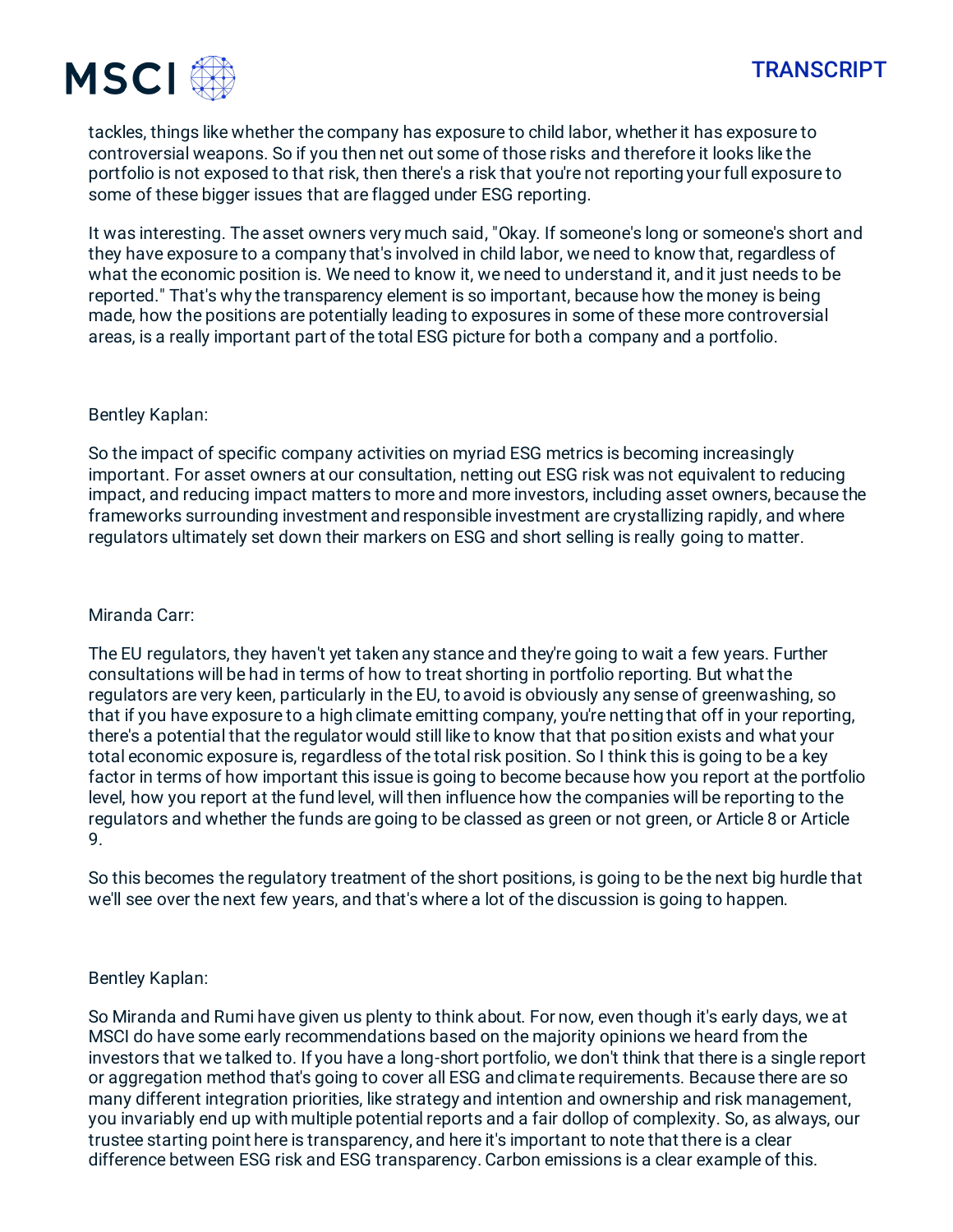

tackles, things like whether the company has exposure to child labor, whether it has exposure to controversial weapons. So if you then net out some of those risks and therefore it looks like the portfolio is not exposed to that risk, then there's a risk that you're not reporting your full exposure to some of these bigger issues that are flagged under ESG reporting.

It was interesting. The asset owners very much said, "Okay. If someone's long or someone's short and they have exposure to a company that's involved in child labor, we need to know that, regardless of what the economic position is. We need to know it, we need to understand it, and it just needs to be reported." That's why the transparency element is so important, because how the money is being made, how the positions are potentially leading to exposures in some of these more controversial areas, is a really important part of the total ESG picture for both a company and a portfolio.

#### Bentley Kaplan:

So the impact of specific company activities on myriad ESG metrics is becoming increasingly important. For asset owners at our consultation, netting out ESG risk was not equivalent to reducing impact, and reducing impact matters to more and more investors, including asset owners, because the frameworks surrounding investment and responsible investment are crystallizing rapidly, and where regulators ultimately set down their markers on ESG and short selling is really going to matter.

#### Miranda Carr:

The EU regulators, they haven't yet taken any stance and they're going to wait a few years. Further consultations will be had in terms of how to treat shorting in portfolio reporting. But what the regulators are very keen, particularly in the EU, to avoid is obviously any sense of greenwashing, so that if you have exposure to a high climate emitting company, you're netting that off in your reporting, there's a potential that the regulator would still like to know that that position exists and what your total economic exposure is, regardless of the total risk position. So I think this is going to be a key factor in terms of how important this issue is going to become because how you report at the portfolio level, how you report at the fund level, will then influence how the companies will be reporting to the regulators and whether the funds are going to be classed as green or not green, or Article 8 or Article 9.

So this becomes the regulatory treatment of the short positions, is going to be the next big hurdle that we'll see over the next few years, and that's where a lot of the discussion is going to happen.

#### Bentley Kaplan:

So Miranda and Rumi have given us plenty to think about. For now, even though it's early days, we at MSCI do have some early recommendations based on the majority opinions we heard from the investors that we talked to. If you have a long-short portfolio, we don't think that there is a single report or aggregation method that's going to cover all ESG and climate requirements. Because there are so many different integration priorities, like strategy and intention and ownership and risk management, you invariably end up with multiple potential reports and a fair dollop of complexity. So, as always, our trustee starting point here is transparency, and here it's important to note that there is a clear difference between ESG risk and ESG transparency. Carbon emissions is a clear example of this.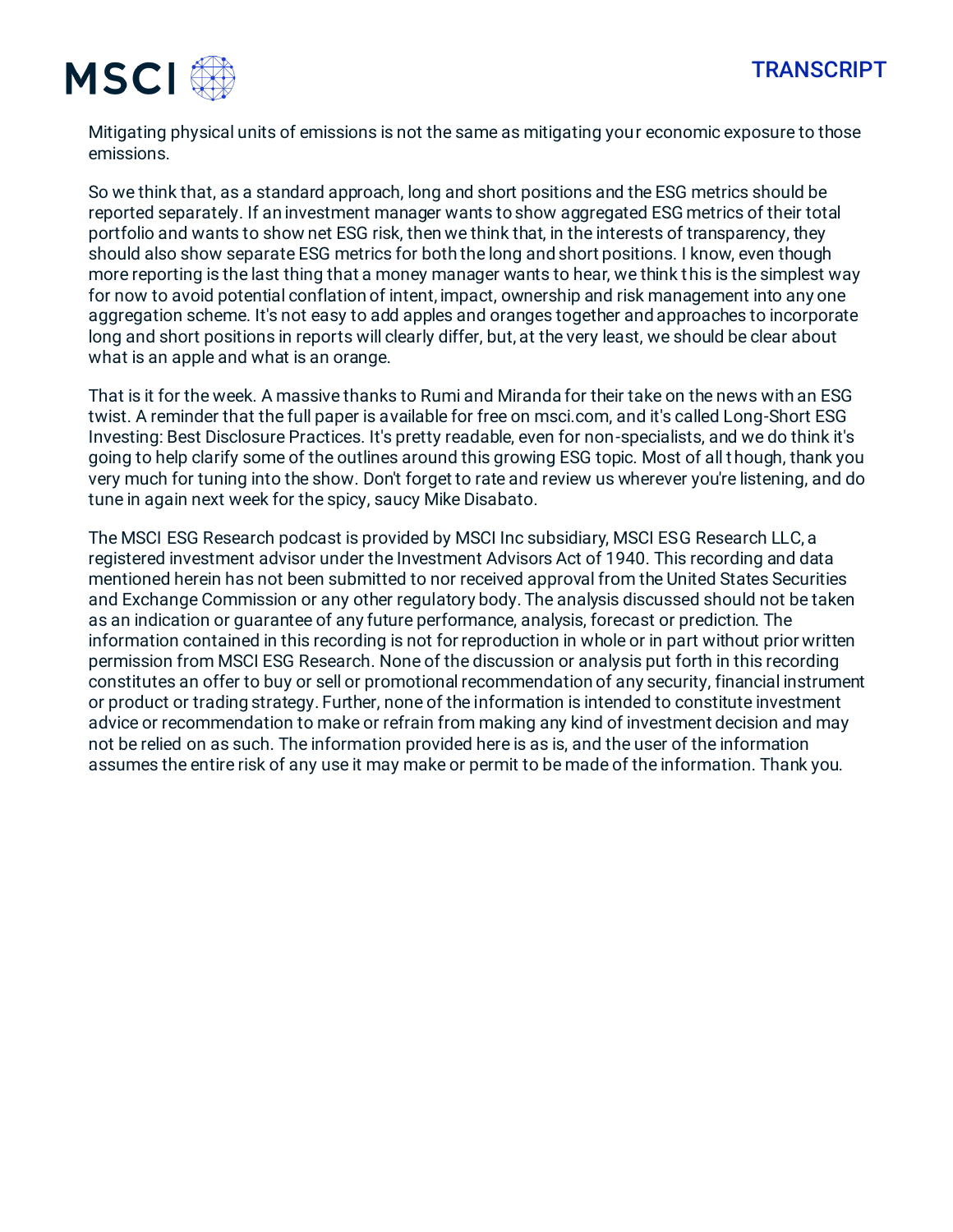



Mitigating physical units of emissions is not the same as mitigating your economic exposure to those emissions.

So we think that, as a standard approach, long and short positions and the ESG metrics should be reported separately. If an investment manager wants to show aggregated ESG metrics of their total portfolio and wants to show net ESG risk, then we think that, in the interests of transparency, they should also show separate ESG metrics for both the long and short positions. I know, even though more reporting is the last thing that a money manager wants to hear, we think this is the simplest way for now to avoid potential conflation of intent, impact, ownership and risk management into any one aggregation scheme. It's not easy to add apples and oranges together and approaches to incorporate long and short positions in reports will clearly differ, but, at the very least, we should be clear about what is an apple and what is an orange.

That is it for the week. A massive thanks to Rumi and Miranda for their take on the news with an ESG twist. A reminder that the full paper is available for free on msci.com, and it's called Long-Short ESG Investing: Best Disclosure Practices. It's pretty readable, even for non-specialists, and we do think it's going to help clarify some of the outlines around this growing ESG topic. Most of all though, thank you very much for tuning into the show. Don't forget to rate and review us wherever you're listening, and do tune in again next week for the spicy, saucy Mike Disabato.

The MSCI ESG Research podcast is provided by MSCI Inc subsidiary, MSCI ESG Research LLC, a registered investment advisor under the Investment Advisors Act of 1940. This recording and data mentioned herein has not been submitted to nor received approval from the United States Securities and Exchange Commission or any other regulatory body. The analysis discussed should not be taken as an indication or guarantee of any future performance, analysis, forecast or prediction. The information contained in this recording is not for reproduction in whole or in part without prior written permission from MSCI ESG Research. None of the discussion or analysis put forth in this recording constitutes an offer to buy or sell or promotional recommendation of any security, financial instrument or product or trading strategy. Further, none of the information is intended to constitute investment advice or recommendation to make or refrain from making any kind of investment decision and may not be relied on as such. The information provided here is as is, and the user of the information assumes the entire risk of any use it may make or permit to be made of the information. Thank you.